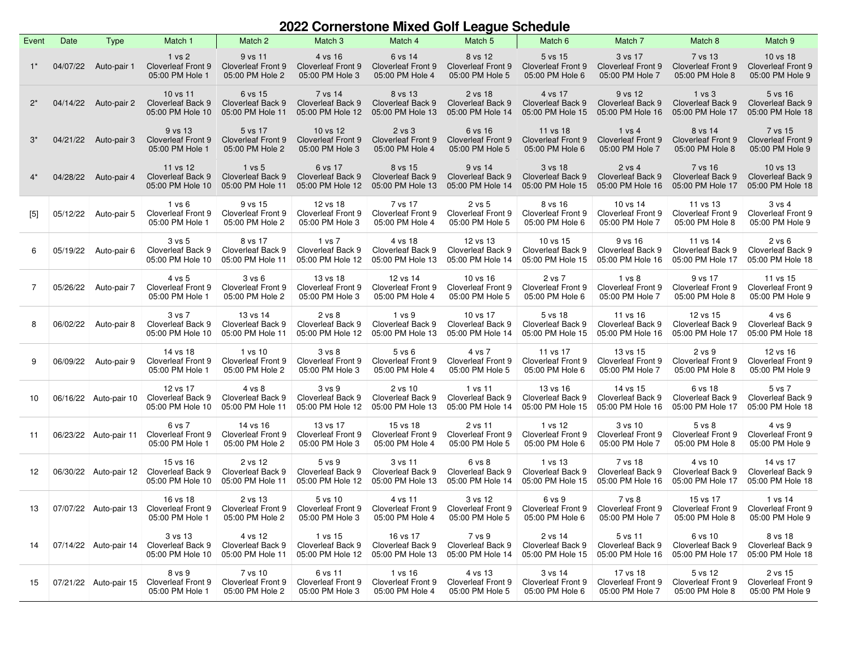## **2022 Cornerstone Mixed Golf League Schedule**

| Event | Date     | <b>Type</b>           | Match 1                                                  | Match 2                                                 | Match 3                                                           | Match 4                                                           | Match 5                                                  | Match 6                                                  | Match 7                                                 | Match 8                                                 | Match 9                                                  |
|-------|----------|-----------------------|----------------------------------------------------------|---------------------------------------------------------|-------------------------------------------------------------------|-------------------------------------------------------------------|----------------------------------------------------------|----------------------------------------------------------|---------------------------------------------------------|---------------------------------------------------------|----------------------------------------------------------|
| $1^*$ | 04/07/22 | Auto-pair 1           | 1 vs 2<br>Cloverleaf Front 9<br>05:00 PM Hole 1          | 9 vs 11<br><b>Cloverleaf Front 9</b><br>05:00 PM Hole 2 | 4 vs 16<br><b>Cloverleaf Front 9</b><br>05:00 PM Hole 3           | 6 vs 14<br><b>Cloverleaf Front 9</b><br>05:00 PM Hole 4           | 8 vs 12<br><b>Cloverleaf Front 9</b><br>05:00 PM Hole 5  | 5 vs 15<br><b>Cloverleaf Front 9</b><br>05:00 PM Hole 6  | 3 vs 17<br><b>Cloverleaf Front 9</b><br>05:00 PM Hole 7 | 7 vs 13<br><b>Cloverleaf Front 9</b><br>05:00 PM Hole 8 | 10 vs 18<br><b>Cloverleaf Front 9</b><br>05:00 PM Hole 9 |
| $2^*$ | 04/14/22 | Auto-pair 2           | 10 vs 11<br>Cloverleaf Back 9<br>05:00 PM Hole 10        | 6 vs 15<br><b>Cloverleaf Back 9</b><br>05:00 PM Hole 11 | 7 vs 14<br>Cloverleaf Back 9<br>05:00 PM Hole 12                  | 8 vs 13<br>Cloverleaf Back 9<br>05:00 PM Hole 13                  | 2 vs 18<br>Cloverleaf Back 9<br>05:00 PM Hole 14         | 4 vs 17<br>Cloverleaf Back 9<br>05:00 PM Hole 15         | 9 vs 12<br>Cloverleaf Back 9<br>05:00 PM Hole 16        | 1 vs 3<br>Cloverleaf Back 9<br>05:00 PM Hole 17         | 5 vs 16<br><b>Cloverleaf Back 9</b><br>05:00 PM Hole 18  |
| $3^*$ | 04/21/22 | Auto-pair 3           | 9 vs 13<br><b>Cloverleaf Front 9</b><br>05:00 PM Hole 1  | 5 vs 17<br><b>Cloverleaf Front 9</b><br>05:00 PM Hole 2 | 10 vs 12<br><b>Cloverleaf Front 9</b><br>05:00 PM Hole 3          | 2 <sub>vs</sub> 3<br><b>Cloverleaf Front 9</b><br>05:00 PM Hole 4 | 6 vs 16<br><b>Cloverleaf Front 9</b><br>05:00 PM Hole 5  | 11 vs 18<br><b>Cloverleaf Front 9</b><br>05:00 PM Hole 6 | 1 vs 4<br><b>Cloverleaf Front 9</b><br>05:00 PM Hole 7  | 8 vs 14<br><b>Cloverleaf Front 9</b><br>05:00 PM Hole 8 | 7 vs 15<br><b>Cloverleaf Front 9</b><br>05:00 PM Hole 9  |
| $4^*$ | 04/28/22 | Auto-pair 4           | 11 vs 12<br><b>Cloverleaf Back 9</b><br>05:00 PM Hole 10 | 1 vs 5<br><b>Cloverleaf Back 9</b><br>05:00 PM Hole 11  | 6 vs 17<br><b>Cloverleaf Back 9</b><br>05:00 PM Hole 12           | 8 vs 15<br>Cloverleaf Back 9<br>05:00 PM Hole 13                  | 9 vs 14<br><b>Cloverleaf Back 9</b><br>05:00 PM Hole 14  | 3 vs 18<br>Cloverleaf Back 9<br>05:00 PM Hole 15         | 2 vs 4<br>Cloverleaf Back 9<br>05:00 PM Hole 16         | 7 vs 16<br>Cloverleaf Back 9<br>05:00 PM Hole 17        | 10 vs 13<br>Cloverleaf Back 9<br>05:00 PM Hole 18        |
| $[5]$ | 05/12/22 | Auto-pair 5           | 1 v s 6<br><b>Cloverleaf Front 9</b><br>05:00 PM Hole 1  | 9 vs 15<br><b>Cloverleaf Front 9</b><br>05:00 PM Hole 2 | 12 vs 18<br><b>Cloverleaf Front 9</b><br>05:00 PM Hole 3          | 7 vs 17<br>Cloverleaf Front 9<br>05:00 PM Hole 4                  | 2 vs 5<br><b>Cloverleaf Front 9</b><br>05:00 PM Hole 5   | 8 vs 16<br>Cloverleaf Front 9<br>05:00 PM Hole 6         | 10 vs 14<br>Cloverleaf Front 9<br>05:00 PM Hole 7       | 11 vs 13<br>Cloverleaf Front 9<br>05:00 PM Hole 8       | 3 vs 4<br>Cloverleaf Front 9<br>05:00 PM Hole 9          |
| 6     | 05/19/22 | Auto-pair 6           | 3 v s 5<br>Cloverleaf Back 9<br>05:00 PM Hole 10         | 8 vs 17<br>Cloverleaf Back 9<br>05:00 PM Hole 11        | 1 vs 7<br>Cloverleaf Back 9<br>05:00 PM Hole 12                   | 4 vs 18<br>Cloverleaf Back 9<br>05:00 PM Hole 13                  | 12 vs 13<br>Cloverleaf Back 9<br>05:00 PM Hole 14        | 10 vs 15<br>Cloverleaf Back 9<br>05:00 PM Hole 15        | 9 vs 16<br>Cloverleaf Back 9<br>05:00 PM Hole 16        | 11 vs 14<br>Cloverleaf Back 9<br>05:00 PM Hole 17       | 2 v s 6<br>Cloverleaf Back 9<br>05:00 PM Hole 18         |
| 7     | 05/26/22 | Auto-pair 7           | 4 vs 5<br><b>Cloverleaf Front 9</b><br>05:00 PM Hole 1   | 3 vs 6<br><b>Cloverleaf Front 9</b><br>05:00 PM Hole 2  | 13 vs 18<br><b>Cloverleaf Front 9</b><br>05:00 PM Hole 3          | 12 vs 14<br>Cloverleaf Front 9<br>05:00 PM Hole 4                 | 10 vs 16<br><b>Cloverleaf Front 9</b><br>05:00 PM Hole 5 | 2 vs 7<br>Cloverleaf Front 9<br>05:00 PM Hole 6          | 1 vs 8<br>Cloverleaf Front 9<br>05:00 PM Hole 7         | 9 vs 17<br>Cloverleaf Front 9<br>05:00 PM Hole 8        | 11 vs 15<br><b>Cloverleaf Front 9</b><br>05:00 PM Hole 9 |
| 8     | 06/02/22 | Auto-pair 8           | 3 vs 7<br>Cloverleaf Back 9<br>05:00 PM Hole 10          | 13 vs 14<br>Cloverleaf Back 9<br>05:00 PM Hole 11       | 2 vs 8<br>Cloverleaf Back 9<br>05:00 PM Hole 12                   | 1 vs 9<br>Cloverleaf Back 9<br>05:00 PM Hole 13                   | 10 vs 17<br>Cloverleaf Back 9<br>05:00 PM Hole 14        | 5 vs 18<br>Cloverleaf Back 9<br>05:00 PM Hole 15         | 11 vs 16<br>Cloverleaf Back 9<br>05:00 PM Hole 16       | 12 vs 15<br>Cloverleaf Back 9<br>05:00 PM Hole 17       | 4 vs 6<br>Cloverleaf Back 9<br>05:00 PM Hole 18          |
| 9     | 06/09/22 | Auto-pair 9           | 14 vs 18<br><b>Cloverleaf Front 9</b><br>05:00 PM Hole 1 | 1 vs 10<br>Cloverleaf Front 9<br>05:00 PM Hole 2        | 3 <sub>vs</sub> 8<br><b>Cloverleaf Front 9</b><br>05:00 PM Hole 3 | $5$ vs $6$<br><b>Cloverleaf Front 9</b><br>05:00 PM Hole 4        | 4 vs 7<br><b>Cloverleaf Front 9</b><br>05:00 PM Hole 5   | 11 vs 17<br>Cloverleaf Front 9<br>05:00 PM Hole 6        | 13 vs 15<br>Cloverleaf Front 9<br>05:00 PM Hole 7       | 2 vs 9<br>Cloverleaf Front 9<br>05:00 PM Hole 8         | 12 vs 16<br><b>Cloverleaf Front 9</b><br>05:00 PM Hole 9 |
| 10    |          | 06/16/22 Auto-pair 10 | 12 vs 17<br>Cloverleaf Back 9<br>05:00 PM Hole 10        | 4 vs 8<br>Cloverleaf Back 9<br>05:00 PM Hole 11         | 3 vs 9<br>Cloverleaf Back 9<br>05:00 PM Hole 12                   | 2 vs 10<br>Cloverleaf Back 9<br>05:00 PM Hole 13                  | 1 vs 11<br>Cloverleaf Back 9<br>05:00 PM Hole 14         | 13 vs 16<br>Cloverleaf Back 9<br>05:00 PM Hole 15        | 14 vs 15<br>Cloverleaf Back 9<br>05:00 PM Hole 16       | 6 vs 18<br>Cloverleaf Back 9<br>05:00 PM Hole 17        | 5 vs 7<br>Cloverleaf Back 9<br>05:00 PM Hole 18          |
| 11    | 06/23/22 | Auto-pair 11          | 6 vs 7<br><b>Cloverleaf Front 9</b><br>05:00 PM Hole 1   | 14 vs 16<br>Cloverleaf Front 9<br>05:00 PM Hole 2       | 13 vs 17<br><b>Cloverleaf Front 9</b><br>05:00 PM Hole 3          | 15 vs 18<br><b>Cloverleaf Front 9</b><br>05:00 PM Hole 4          | 2 vs 11<br><b>Cloverleaf Front 9</b><br>05:00 PM Hole 5  | 1 vs 12<br>Cloverleaf Front 9<br>05:00 PM Hole 6         | 3 vs 10<br><b>Cloverleaf Front 9</b><br>05:00 PM Hole 7 | 5 vs 8<br><b>Cloverleaf Front 9</b><br>05:00 PM Hole 8  | 4 vs 9<br>Cloverleaf Front 9<br>05:00 PM Hole 9          |
| 12    | 06/30/22 | Auto-pair 12          | 15 vs 16<br>Cloverleaf Back 9<br>05:00 PM Hole 10        | 2 vs 12<br>Cloverleaf Back 9<br>05:00 PM Hole 11        | 5 <sub>vs</sub> 9<br><b>Cloverleaf Back 9</b><br>05:00 PM Hole 12 | 3 vs 11<br>Cloverleaf Back 9<br>05:00 PM Hole 13                  | 6 vs 8<br>Cloverleaf Back 9<br>05:00 PM Hole 14          | 1 vs 13<br>Cloverleaf Back 9<br>05:00 PM Hole 15         | 7 vs 18<br>Cloverleaf Back 9<br>05:00 PM Hole 16        | 4 vs 10<br>Cloverleaf Back 9<br>05:00 PM Hole 17        | 14 vs 17<br>Cloverleaf Back 9<br>05:00 PM Hole 18        |
| 13    | 07/07/22 | Auto-pair 13          | 16 vs 18<br>Cloverleaf Front 9<br>05:00 PM Hole 1        | 2 vs 13<br><b>Cloverleaf Front 9</b><br>05:00 PM Hole 2 | 5 vs 10<br>Cloverleaf Front 9<br>05:00 PM Hole 3                  | 4 vs 11<br>Cloverleaf Front 9<br>05:00 PM Hole 4                  | 3 vs 12<br>Cloverleaf Front 9<br>05:00 PM Hole 5         | 6 vs 9<br>Cloverleaf Front 9<br>05:00 PM Hole 6          | 7 vs 8<br>Cloverleaf Front 9<br>05:00 PM Hole 7         | 15 vs 17<br>Cloverleaf Front 9<br>05:00 PM Hole 8       | 1 vs 14<br><b>Cloverleaf Front 9</b><br>05:00 PM Hole 9  |
| 14    |          | 07/14/22 Auto-pair 14 | 3 vs 13<br>Cloverleaf Back 9<br>05:00 PM Hole 10         | 4 vs 12<br>Cloverleaf Back 9<br>05:00 PM Hole 11        | 1 vs 15<br>Cloverleaf Back 9<br>05:00 PM Hole 12                  | 16 vs 17<br>Cloverleaf Back 9<br>05:00 PM Hole 13                 | 7 vs 9<br>Cloverleaf Back 9<br>05:00 PM Hole 14          | 2 vs 14<br>Cloverleaf Back 9<br>05:00 PM Hole 15         | 5 vs 11<br>Cloverleaf Back 9<br>05:00 PM Hole 16        | 6 vs 10<br>Cloverleaf Back 9<br>05:00 PM Hole 17        | 8 vs 18<br>Cloverleaf Back 9<br>05:00 PM Hole 18         |
| 15    | 07/21/22 | Auto-pair 15          | 8 vs 9<br>Cloverleaf Front 9<br>05:00 PM Hole 1          | 7 vs 10<br><b>Cloverleaf Front 9</b><br>05:00 PM Hole 2 | 6 vs 11<br>Cloverleaf Front 9<br>05:00 PM Hole 3                  | 1 vs 16<br>Cloverleaf Front 9<br>05:00 PM Hole 4                  | 4 vs 13<br>Cloverleaf Front 9<br>05:00 PM Hole 5         | 3 vs 14<br>Cloverleaf Front 9<br>05:00 PM Hole 6         | 17 vs 18<br>Cloverleaf Front 9<br>05:00 PM Hole 7       | 5 vs 12<br>Cloverleaf Front 9<br>05:00 PM Hole 8        | 2 vs 15<br><b>Cloverleaf Front 9</b><br>05:00 PM Hole 9  |